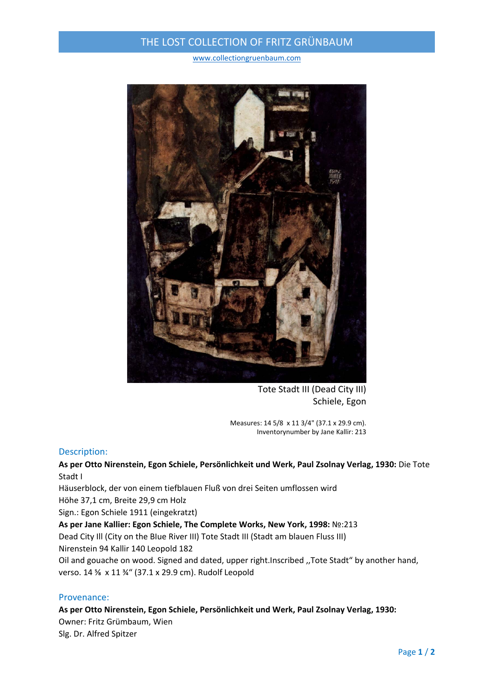## THE LOST COLLECTION OF FRITZ GRÜNBAUM

www.collectiongruenbaum.com



Tote Stadt III (Dead City III) Schiele, Egon

Measures: 14 5/8 x 11 3/4" (37.1 x 29.9 cm). Inventorynumber by Jane Kallir: 213

## Description:

**As per Otto Nirenstein, Egon Schiele, Persönlichkeit und Werk, Paul Zsolnay Verlag, 1930:** Die Tote Stadt I

Häuserblock, der von einem tiefblauen Fluß von drei Seiten umflossen wird

Höhe 37,1 cm, Breite 29,9 cm Holz

Sign.: Egon Schiele 1911 (eingekratzt)

**As per Jane Kallier: Egon Schiele, The Complete Works, New York, 1998:** №:213 Dead City Ill (City on the BIue River III) Tote Stadt III (Stadt am blauen Fluss III) Nirenstein 94 Kallir 140 Leopold 182 Oil and gouache on wood. Signed and dated, upper right.Inscribed ,,Tote Stadt" by another hand,

verso. 14 % x 11 %" (37.1 x 29.9 cm). Rudolf Leopold

## Provenance:

**As per Otto Nirenstein, Egon Schiele, Persönlichkeit und Werk, Paul Zsolnay Verlag, 1930:**  Owner: Fritz Grümbaum, Wien Slg. Dr. Alfred Spitzer